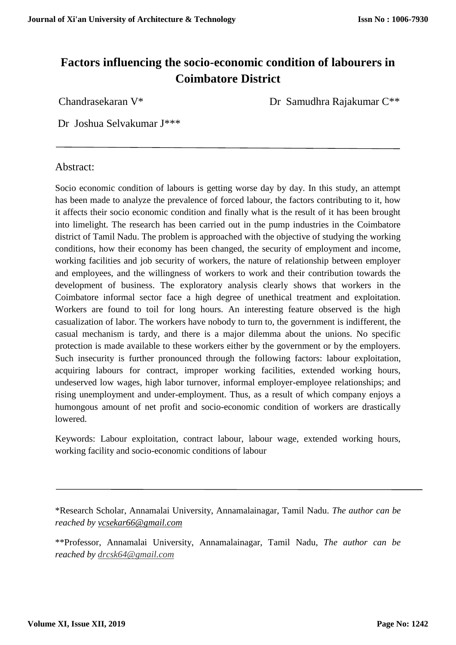# **Factors influencing the socio-economic condition of labourers in Coimbatore District**

Chandrasekaran V\* Dr Samudhra Rajakumar C\*\*

Dr Joshua Selvakumar J\*\*\*

# Abstract:

Socio economic condition of labours is getting worse day by day. In this study, an attempt has been made to analyze the prevalence of forced labour, the factors contributing to it, how it affects their socio economic condition and finally what is the result of it has been brought into limelight. The research has been carried out in the pump industries in the Coimbatore district of Tamil Nadu. The problem is approached with the objective of studying the working conditions, how their economy has been changed, the security of employment and income, working facilities and job security of workers, the nature of relationship between employer and employees, and the willingness of workers to work and their contribution towards the development of business. The exploratory analysis clearly shows that workers in the Coimbatore informal sector face a high degree of unethical treatment and exploitation. Workers are found to toil for long hours. An interesting feature observed is the high casualization of labor. The workers have nobody to turn to, the government is indifferent, the casual mechanism is tardy, and there is a major dilemma about the unions. No specific protection is made available to these workers either by the government or by the employers. Such insecurity is further pronounced through the following factors: labour exploitation, acquiring labours for contract, improper working facilities, extended working hours, undeserved low wages, high labor turnover, informal employer-employee relationships; and rising unemployment and under-employment. Thus, as a result of which company enjoys a humongous amount of net profit and socio-economic condition of workers are drastically lowered.

Keywords: Labour exploitation, contract labour, labour wage, extended working hours, working facility and socio-economic conditions of labour

\*Research Scholar, Annamalai University, Annamalainagar, Tamil Nadu. *The author can be reached by vcsekar66@gmail.com*

\*\*Professor, Annamalai University, Annamalainagar, Tamil Nadu, *The author can be reached by drcsk64@gmail.com*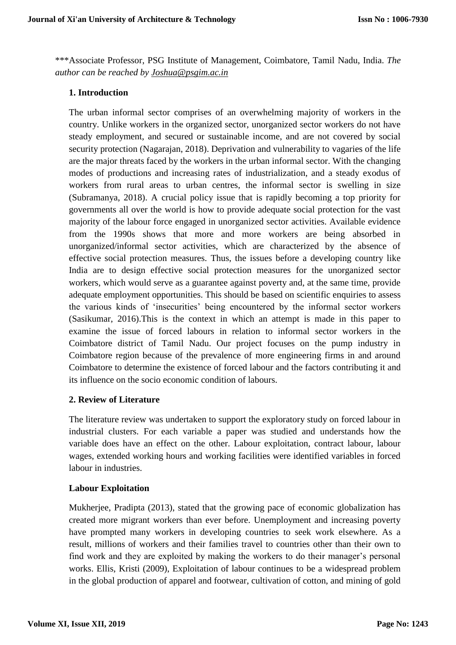\*\*\*Associate Professor, PSG Institute of Management, Coimbatore, Tamil Nadu, India. *The author can be reached by [Joshua@psgim.ac.in](mailto:Joshua@psgim.ac.in)*

# **1. Introduction**

The urban informal sector comprises of an overwhelming majority of workers in the country. Unlike workers in the organized sector, unorganized sector workers do not have steady employment, and secured or sustainable income, and are not covered by social security protection (Nagarajan, 2018). Deprivation and vulnerability to vagaries of the life are the major threats faced by the workers in the urban informal sector. With the changing modes of productions and increasing rates of industrialization, and a steady exodus of workers from rural areas to urban centres, the informal sector is swelling in size (Subramanya, 2018). A crucial policy issue that is rapidly becoming a top priority for governments all over the world is how to provide adequate social protection for the vast majority of the labour force engaged in unorganized sector activities. Available evidence from the 1990s shows that more and more workers are being absorbed in unorganized/informal sector activities, which are characterized by the absence of effective social protection measures. Thus, the issues before a developing country like India are to design effective social protection measures for the unorganized sector workers, which would serve as a guarantee against poverty and, at the same time, provide adequate employment opportunities. This should be based on scientific enquiries to assess the various kinds of 'insecurities' being encountered by the informal sector workers (Sasikumar, 2016).This is the context in which an attempt is made in this paper to examine the issue of forced labours in relation to informal sector workers in the Coimbatore district of Tamil Nadu. Our project focuses on the pump industry in Coimbatore region because of the prevalence of more engineering firms in and around Coimbatore to determine the existence of forced labour and the factors contributing it and its influence on the socio economic condition of labours.

#### **2. Review of Literature**

The literature review was undertaken to support the exploratory study on forced labour in industrial clusters. For each variable a paper was studied and understands how the variable does have an effect on the other. Labour exploitation, contract labour, labour wages, extended working hours and working facilities were identified variables in forced labour in industries.

#### **Labour Exploitation**

Mukherjee, Pradipta (2013), stated that the growing pace of economic globalization has created more migrant workers than ever before. Unemployment and increasing poverty have prompted many workers in developing countries to seek work elsewhere. As a result, millions of workers and their families travel to countries other than their own to find work and they are exploited by making the workers to do their manager's personal works. Ellis, Kristi (2009), Exploitation of labour continues to be a widespread problem in the global production of apparel and footwear, cultivation of cotton, and mining of gold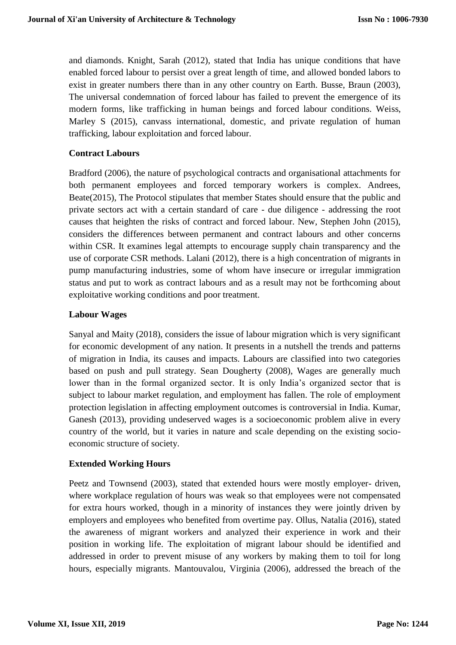and diamonds. Knight, Sarah (2012), stated that India has unique conditions that have enabled forced labour to persist over a great length of time, and allowed bonded labors to exist in greater numbers there than in any other country on Earth. Busse, Braun (2003), The universal condemnation of forced labour has failed to prevent the emergence of its modern forms, like trafficking in human beings and forced labour conditions. Weiss, Marley S (2015), canvass international, domestic, and private regulation of human trafficking, labour exploitation and forced labour.

# **Contract Labours**

Bradford (2006), the nature of psychological contracts and organisational attachments for both permanent employees and forced temporary workers is complex. Andrees, Beate(2015), The Protocol stipulates that member States should ensure that the public and private sectors act with a certain standard of care - due diligence - addressing the root causes that heighten the risks of contract and forced labour. New, Stephen John (2015), considers the differences between permanent and contract labours and other concerns within CSR. It examines legal attempts to encourage supply chain transparency and the use of corporate CSR methods. Lalani (2012), there is a high concentration of migrants in pump manufacturing industries, some of whom have insecure or irregular immigration status and put to work as contract labours and as a result may not be forthcoming about exploitative working conditions and poor treatment.

# **Labour Wages**

Sanyal and Maity (2018), considers the issue of labour migration which is very significant for economic development of any nation. It presents in a nutshell the trends and patterns of migration in India, its causes and impacts. Labours are classified into two categories based on push and pull strategy. Sean Dougherty (2008), Wages are generally much lower than in the formal organized sector. It is only India's organized sector that is subject to labour market regulation, and employment has fallen. The role of employment protection legislation in affecting employment outcomes is controversial in India. Kumar, Ganesh (2013), providing undeserved wages is a socioeconomic problem alive in every country of the world, but it varies in nature and scale depending on the existing socioeconomic structure of society.

#### **Extended Working Hours**

Peetz and Townsend (2003), stated that extended hours were mostly employer- driven, where workplace regulation of hours was weak so that employees were not compensated for extra hours worked, though in a minority of instances they were jointly driven by employers and employees who benefited from overtime pay. Ollus, Natalia (2016), stated the awareness of migrant workers and analyzed their experience in work and their position in working life. The exploitation of migrant labour should be identified and addressed in order to prevent misuse of any workers by making them to toil for long hours, especially migrants. Mantouvalou, Virginia (2006), addressed the breach of the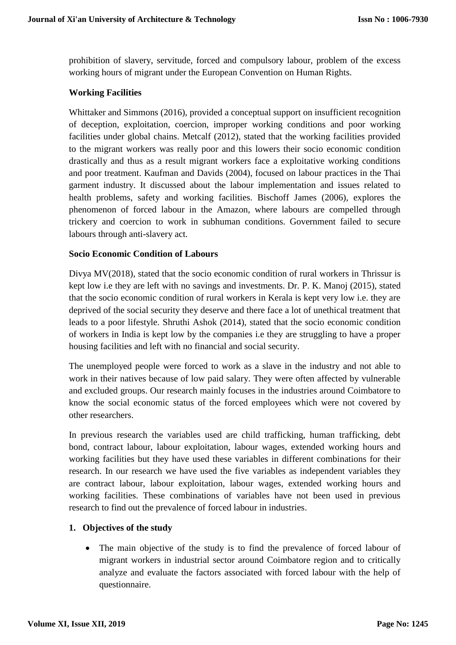prohibition of slavery, servitude, forced and compulsory labour, problem of the excess working hours of migrant under the European Convention on Human Rights.

#### **Working Facilities**

Whittaker and Simmons (2016), provided a conceptual support on insufficient recognition of deception, exploitation, coercion, improper working conditions and poor working facilities under global chains. Metcalf (2012), stated that the working facilities provided to the migrant workers was really poor and this lowers their socio economic condition drastically and thus as a result migrant workers face a exploitative working conditions and poor treatment. Kaufman and Davids (2004), focused on labour practices in the Thai garment industry. It discussed about the labour implementation and issues related to health problems, safety and working facilities. Bischoff James (2006), explores the phenomenon of forced labour in the Amazon, where labours are compelled through trickery and coercion to work in subhuman conditions. Government failed to secure labours through anti-slavery act.

# **Socio Economic Condition of Labours**

Divya MV(2018), stated that the socio economic condition of rural workers in Thrissur is kept low i.e they are left with no savings and investments. Dr. P. K. Manoj (2015), stated that the socio economic condition of rural workers in Kerala is kept very low i.e. they are deprived of the social security they deserve and there face a lot of unethical treatment that leads to a poor lifestyle. Shruthi Ashok (2014), stated that the socio economic condition of workers in India is kept low by the companies i.e they are struggling to have a proper housing facilities and left with no financial and social security.

The unemployed people were forced to work as a slave in the industry and not able to work in their natives because of low paid salary. They were often affected by vulnerable and excluded groups. Our research mainly focuses in the industries around Coimbatore to know the social economic status of the forced employees which were not covered by other researchers.

In previous research the variables used are child trafficking, human trafficking, debt bond, contract labour, labour exploitation, labour wages, extended working hours and working facilities but they have used these variables in different combinations for their research. In our research we have used the five variables as independent variables they are contract labour, labour exploitation, labour wages, extended working hours and working facilities. These combinations of variables have not been used in previous research to find out the prevalence of forced labour in industries.

# **1. Objectives of the study**

 The main objective of the study is to find the prevalence of forced labour of migrant workers in industrial sector around Coimbatore region and to critically analyze and evaluate the factors associated with forced labour with the help of questionnaire.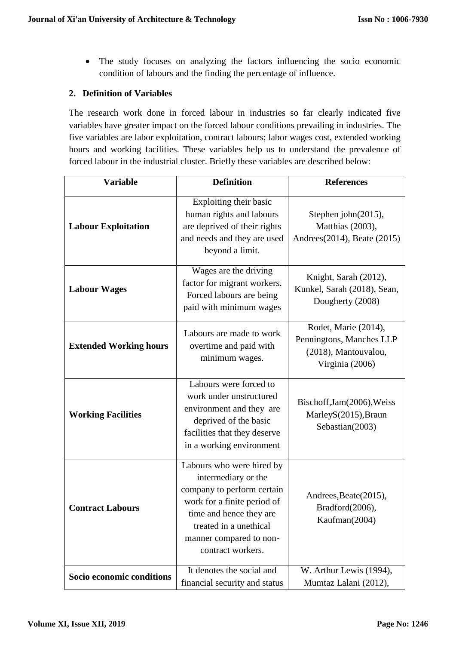The study focuses on analyzing the factors influencing the socio economic condition of labours and the finding the percentage of influence.

# **2. Definition of Variables**

The research work done in forced labour in industries so far clearly indicated five variables have greater impact on the forced labour conditions prevailing in industries. The five variables are labor exploitation, contract labours; labor wages cost, extended working hours and working facilities. These variables help us to understand the prevalence of forced labour in the industrial cluster. Briefly these variables are described below:

| <b>Variable</b>               | <b>Definition</b>                                                                                                                                                                                                  |                                                                                             |
|-------------------------------|--------------------------------------------------------------------------------------------------------------------------------------------------------------------------------------------------------------------|---------------------------------------------------------------------------------------------|
| <b>Labour Exploitation</b>    | Exploiting their basic<br>human rights and labours<br>are deprived of their rights<br>and needs and they are used<br>beyond a limit.                                                                               | Stephen john(2015),<br>Matthias (2003),<br>Andrees(2014), Beate (2015)                      |
| <b>Labour Wages</b>           | Wages are the driving<br>factor for migrant workers.<br>Forced labours are being<br>paid with minimum wages                                                                                                        | Knight, Sarah (2012),<br>Kunkel, Sarah (2018), Sean,<br>Dougherty (2008)                    |
| <b>Extended Working hours</b> | Labours are made to work<br>overtime and paid with<br>minimum wages.                                                                                                                                               | Rodet, Marie (2014),<br>Penningtons, Manches LLP<br>(2018), Mantouvalou,<br>Virginia (2006) |
| <b>Working Facilities</b>     | Labours were forced to<br>work under unstructured<br>environment and they are<br>deprived of the basic<br>facilities that they deserve<br>in a working environment                                                 | Bischoff, Jam(2006), Weiss<br>MarleyS(2015), Braun<br>Sebastian(2003)                       |
| <b>Contract Labours</b>       | Labours who were hired by<br>intermediary or the<br>company to perform certain<br>work for a finite period of<br>time and hence they are<br>treated in a unethical<br>manner compared to non-<br>contract workers. | Andrees, Beate(2015),<br>Bradford(2006),<br>Kaufman(2004)                                   |
| Socio economic conditions     | It denotes the social and<br>financial security and status                                                                                                                                                         | W. Arthur Lewis (1994),<br>Mumtaz Lalani (2012),                                            |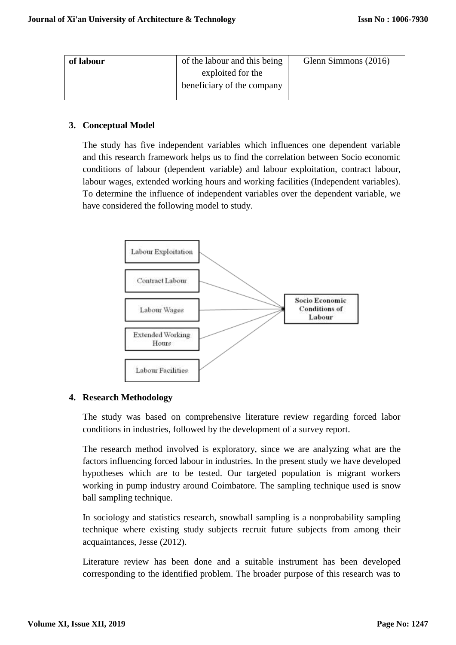| of labour | of the labour and this being | Glenn Simmons (2016) |
|-----------|------------------------------|----------------------|
|           | exploited for the            |                      |
|           | beneficiary of the company   |                      |
|           |                              |                      |

# **3. Conceptual Model**

The study has five independent variables which influences one dependent variable and this research framework helps us to find the correlation between Socio economic conditions of labour (dependent variable) and labour exploitation, contract labour, labour wages, extended working hours and working facilities (Independent variables). To determine the influence of independent variables over the dependent variable, we have considered the following model to study.



# **4. Research Methodology**

The study was based on comprehensive literature review regarding forced labor conditions in industries, followed by the development of a survey report.

The research method involved is exploratory, since we are analyzing what are the factors influencing forced labour in industries. In the present study we have developed hypotheses which are to be tested. Our targeted population is migrant workers working in pump industry around Coimbatore. The sampling technique used is snow ball sampling technique.

In sociology and statistics research, snowball sampling is a nonprobability sampling technique where existing study subjects recruit future subjects from among their acquaintances, Jesse (2012).

Literature review has been done and a suitable instrument has been developed corresponding to the identified problem. The broader purpose of this research was to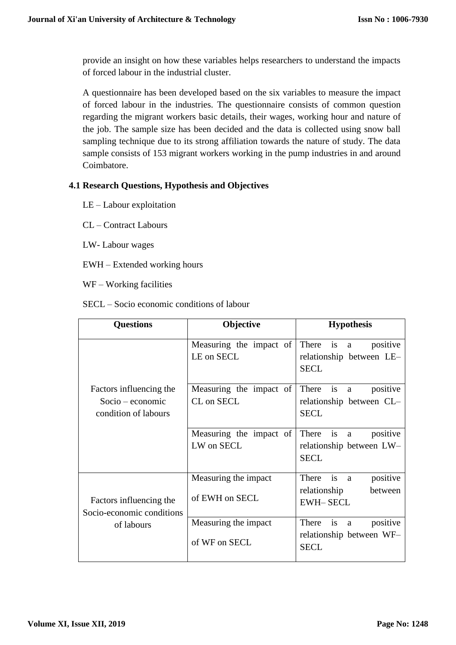provide an insight on how these variables helps researchers to understand the impacts of forced labour in the industrial cluster.

A questionnaire has been developed based on the six variables to measure the impact of forced labour in the industries. The questionnaire consists of common question regarding the migrant workers basic details, their wages, working hour and nature of the job. The sample size has been decided and the data is collected using snow ball sampling technique due to its strong affiliation towards the nature of study. The data sample consists of 153 migrant workers working in the pump industries in and around Coimbatore.

# **4.1 Research Questions, Hypothesis and Objectives**

- LE Labour exploitation
- CL Contract Labours
- LW- Labour wages
- EWH Extended working hours
- WF Working facilities

SECL – Socio economic conditions of labour

| <b>Questions</b>                                                    | Objective                              | <b>Hypothesis</b>                                                                   |  |
|---------------------------------------------------------------------|----------------------------------------|-------------------------------------------------------------------------------------|--|
| Factors influencing the<br>$Socio-economic$<br>condition of labours | Measuring the impact of<br>LE on SECL  | There<br>positive<br>$\mathbf{1}$ s<br>a<br>relationship between LE-<br><b>SECL</b> |  |
|                                                                     | Measuring the impact of<br>CL on SECL  | There<br>is<br>positive<br>a<br>relationship between CL-<br><b>SECL</b>             |  |
|                                                                     | Measuring the impact of<br>LW on SECL  | There is<br>positive<br>a<br>relationship between LW-<br><b>SECL</b>                |  |
| Factors influencing the<br>Socio-economic conditions<br>of labours  | Measuring the impact<br>of EWH on SECL | is<br>positive<br>There<br>a<br>between<br>relationship<br><b>EWH-SECL</b>          |  |
|                                                                     | Measuring the impact<br>of WF on SECL  | There<br>positive<br>is<br>$\rm{a}$<br>relationship between WF-<br><b>SECL</b>      |  |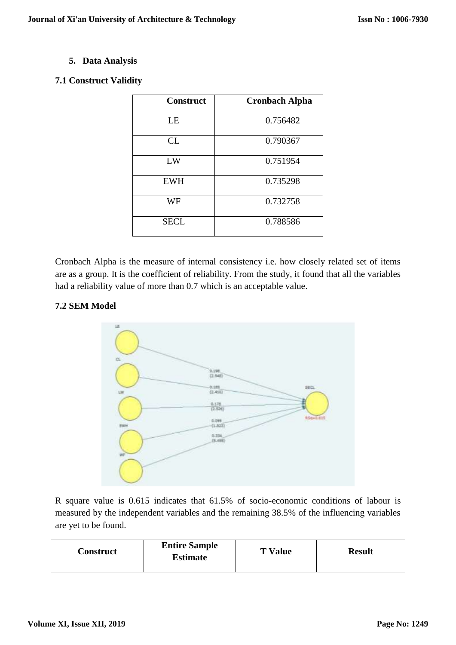# **5. Data Analysis**

# **7.1 Construct Validity**

| <b>Construct</b> | <b>Cronbach Alpha</b> |
|------------------|-----------------------|
| LE               | 0.756482              |
| CL               | 0.790367              |
| LW               | 0.751954              |
| <b>EWH</b>       | 0.735298              |
| WF               | 0.732758              |
| <b>SECL</b>      | 0.788586              |

Cronbach Alpha is the measure of internal consistency i.e. how closely related set of items are as a group. It is the coefficient of reliability. From the study, it found that all the variables had a reliability value of more than 0.7 which is an acceptable value.

# **7.2 SEM Model**



R square value is 0.615 indicates that 61.5% of socio-economic conditions of labour is measured by the independent variables and the remaining 38.5% of the influencing variables are yet to be found.

| Construct | <b>Entire Sample</b><br><b>Estimate</b> | <b>T</b> Value | <b>Result</b> |
|-----------|-----------------------------------------|----------------|---------------|
|-----------|-----------------------------------------|----------------|---------------|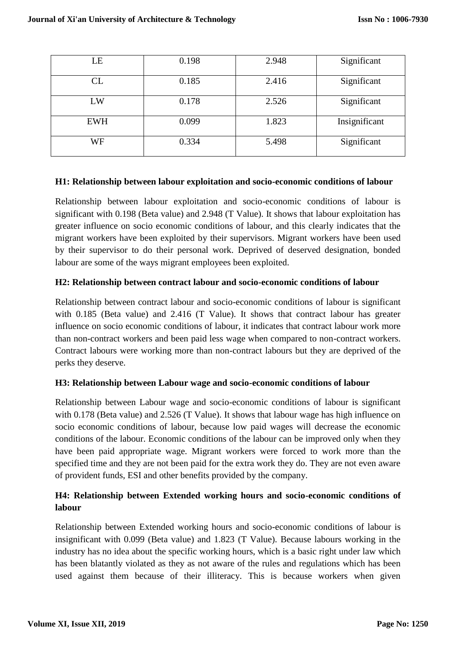| LE         | 0.198 | 2.948 | Significant   |
|------------|-------|-------|---------------|
| CL         | 0.185 | 2.416 | Significant   |
| LW         | 0.178 | 2.526 | Significant   |
| <b>EWH</b> | 0.099 | 1.823 | Insignificant |
| WF         | 0.334 | 5.498 | Significant   |

#### **H1: Relationship between labour exploitation and socio-economic conditions of labour**

Relationship between labour exploitation and socio-economic conditions of labour is significant with 0.198 (Beta value) and 2.948 (T Value). It shows that labour exploitation has greater influence on socio economic conditions of labour, and this clearly indicates that the migrant workers have been exploited by their supervisors. Migrant workers have been used by their supervisor to do their personal work. Deprived of deserved designation, bonded labour are some of the ways migrant employees been exploited.

#### **H2: Relationship between contract labour and socio-economic conditions of labour**

Relationship between contract labour and socio-economic conditions of labour is significant with 0.185 (Beta value) and 2.416 (T Value). It shows that contract labour has greater influence on socio economic conditions of labour, it indicates that contract labour work more than non-contract workers and been paid less wage when compared to non-contract workers. Contract labours were working more than non-contract labours but they are deprived of the perks they deserve.

#### **H3: Relationship between Labour wage and socio-economic conditions of labour**

Relationship between Labour wage and socio-economic conditions of labour is significant with 0.178 (Beta value) and 2.526 (T Value). It shows that labour wage has high influence on socio economic conditions of labour, because low paid wages will decrease the economic conditions of the labour. Economic conditions of the labour can be improved only when they have been paid appropriate wage. Migrant workers were forced to work more than the specified time and they are not been paid for the extra work they do. They are not even aware of provident funds, ESI and other benefits provided by the company.

# **H4: Relationship between Extended working hours and socio-economic conditions of labour**

Relationship between Extended working hours and socio-economic conditions of labour is insignificant with 0.099 (Beta value) and 1.823 (T Value). Because labours working in the industry has no idea about the specific working hours, which is a basic right under law which has been blatantly violated as they as not aware of the rules and regulations which has been used against them because of their illiteracy. This is because workers when given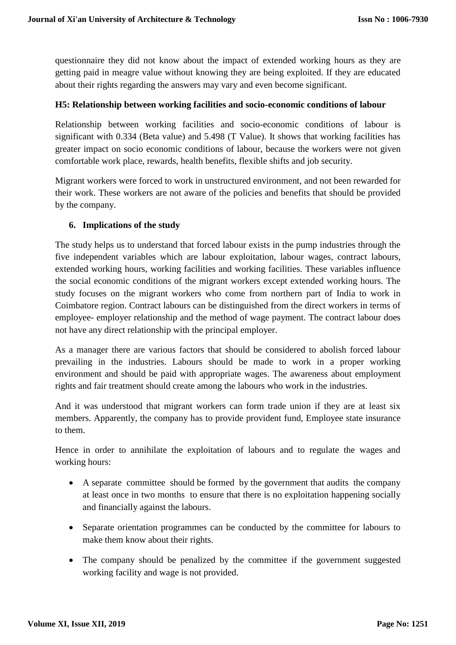questionnaire they did not know about the impact of extended working hours as they are getting paid in meagre value without knowing they are being exploited. If they are educated about their rights regarding the answers may vary and even become significant.

#### **H5: Relationship between working facilities and socio-economic conditions of labour**

Relationship between working facilities and socio-economic conditions of labour is significant with 0.334 (Beta value) and 5.498 (T Value). It shows that working facilities has greater impact on socio economic conditions of labour, because the workers were not given comfortable work place, rewards, health benefits, flexible shifts and job security.

Migrant workers were forced to work in unstructured environment, and not been rewarded for their work. These workers are not aware of the policies and benefits that should be provided by the company.

# **6. Implications of the study**

The study helps us to understand that forced labour exists in the pump industries through the five independent variables which are labour exploitation, labour wages, contract labours, extended working hours, working facilities and working facilities. These variables influence the social economic conditions of the migrant workers except extended working hours. The study focuses on the migrant workers who come from northern part of India to work in Coimbatore region. Contract labours can be distinguished from the direct workers in terms of employee- employer relationship and the method of wage payment. The contract labour does not have any direct relationship with the principal employer.

As a manager there are various factors that should be considered to abolish forced labour prevailing in the industries. Labours should be made to work in a proper working environment and should be paid with appropriate wages. The awareness about employment rights and fair treatment should create among the labours who work in the industries.

And it was understood that migrant workers can form trade union if they are at least six members. Apparently, the company has to provide provident fund, Employee state insurance to them.

Hence in order to annihilate the exploitation of labours and to regulate the wages and working hours:

- A separate committee should be formed by the government that audits the company at least once in two months to ensure that there is no exploitation happening socially and financially against the labours.
- Separate orientation programmes can be conducted by the committee for labours to make them know about their rights.
- The company should be penalized by the committee if the government suggested working facility and wage is not provided.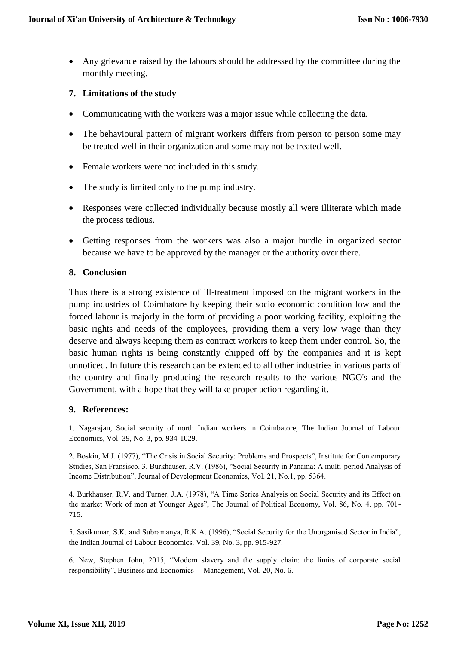Any grievance raised by the labours should be addressed by the committee during the monthly meeting.

# **7. Limitations of the study**

- Communicating with the workers was a major issue while collecting the data.
- The behavioural pattern of migrant workers differs from person to person some may be treated well in their organization and some may not be treated well.
- Female workers were not included in this study.
- The study is limited only to the pump industry.
- Responses were collected individually because mostly all were illiterate which made the process tedious.
- Getting responses from the workers was also a major hurdle in organized sector because we have to be approved by the manager or the authority over there.

#### **8. Conclusion**

Thus there is a strong existence of ill-treatment imposed on the migrant workers in the pump industries of Coimbatore by keeping their socio economic condition low and the forced labour is majorly in the form of providing a poor working facility, exploiting the basic rights and needs of the employees, providing them a very low wage than they deserve and always keeping them as contract workers to keep them under control. So, the basic human rights is being constantly chipped off by the companies and it is kept unnoticed. In future this research can be extended to all other industries in various parts of the country and finally producing the research results to the various NGO's and the Government, with a hope that they will take proper action regarding it.

#### **9. References:**

1. Nagarajan, Social security of north Indian workers in Coimbatore, The Indian Journal of Labour Economics, Vol. 39, No. 3, pp. 934-1029.

2. Boskin, M.J. (1977), "The Crisis in Social Security: Problems and Prospects", Institute for Contemporary Studies, San Fransisco. 3. Burkhauser, R.V. (1986), "Social Security in Panama: A multi-period Analysis of Income Distribution", Journal of Development Economics, Vol. 21, No.1, pp. 5364.

4. Burkhauser, R.V. and Turner, J.A. (1978), "A Time Series Analysis on Social Security and its Effect on the market Work of men at Younger Ages", The Journal of Political Economy, Vol. 86, No. 4, pp. 701- 715.

5. Sasikumar, S.K. and Subramanya, R.K.A. (1996), "Social Security for the Unorganised Sector in India", the Indian Journal of Labour Economics, Vol. 39, No. 3, pp. 915-927.

6. New, Stephen John, 2015, "Modern slavery and the supply chain: the limits of corporate social responsibility", Business and Economics— Management, Vol. 20, No. 6.